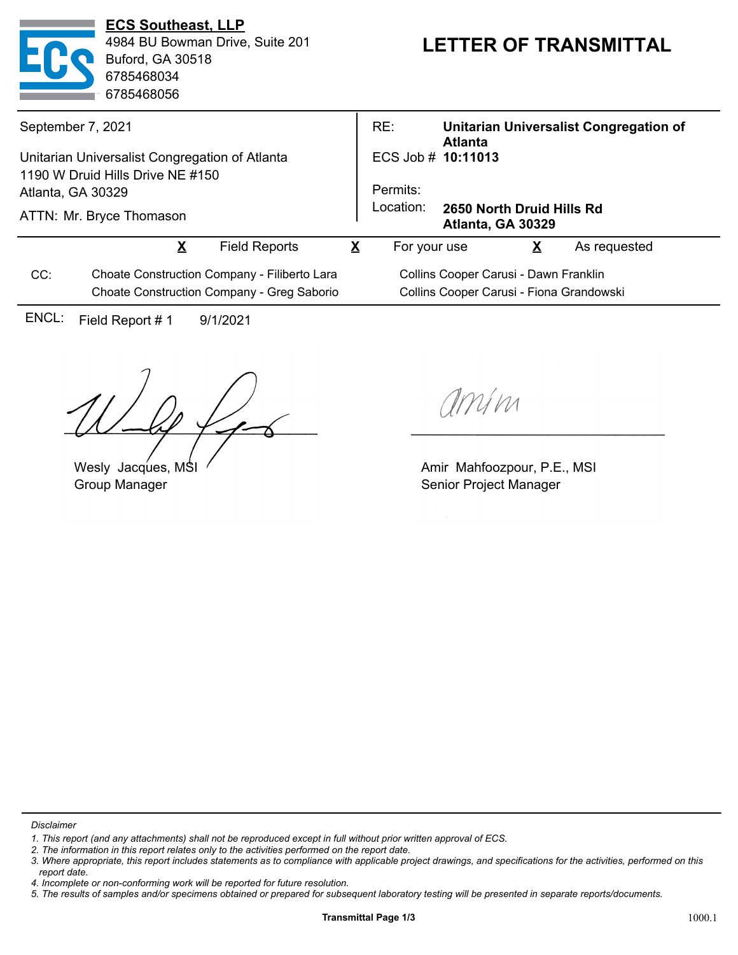|                                                | <b>ECS Southeast, LLP</b><br>4984 BU Bowman Drive, Suite 201<br>Buford, GA 30518<br>6785468034<br>6785468056 |                      | <b>LETTER OF TRANSMITTAL</b> |                                                             |                                                          |                         |              |  |
|------------------------------------------------|--------------------------------------------------------------------------------------------------------------|----------------------|------------------------------|-------------------------------------------------------------|----------------------------------------------------------|-------------------------|--------------|--|
| September 7, 2021                              |                                                                                                              |                      |                              | RE:                                                         | Unitarian Universalist Congregation of<br><b>Atlanta</b> |                         |              |  |
| Unitarian Universalist Congregation of Atlanta |                                                                                                              |                      |                              | ECS Job # 10:11013                                          |                                                          |                         |              |  |
|                                                | 1190 W Druid Hills Drive NE #150                                                                             |                      |                              |                                                             |                                                          |                         |              |  |
| Atlanta, GA 30329                              |                                                                                                              |                      |                              | Permits:                                                    |                                                          |                         |              |  |
|                                                | ATTN: Mr. Bryce Thomason                                                                                     |                      |                              | Location:<br>2650 North Druid Hills Rd<br>Atlanta, GA 30329 |                                                          |                         |              |  |
|                                                | $\overline{\mathbf{X}}$                                                                                      | <b>Field Reports</b> | $\overline{\mathbf{X}}$      | For your use                                                |                                                          | $\overline{\mathbf{X}}$ | As requested |  |
| CC:                                            | Choate Construction Company - Filiberto Lara                                                                 |                      |                              | Collins Cooper Carusi - Dawn Franklin                       |                                                          |                         |              |  |
|                                                | Choate Construction Company - Greg Saborio                                                                   |                      |                              | Collins Cooper Carusi - Fiona Grandowski                    |                                                          |                         |              |  |
| ENCL:                                          | Field Report #1                                                                                              | 9/1/2021             |                              |                                                             |                                                          |                         |              |  |

Wesly Jacques, MSI Group Manager

amin

Amir Mahfoozpour, P.E., MSI Senior Project Manager

*Disclaimer*

*<sup>1.</sup> This report (and any attachments) shall not be reproduced except in full without prior written approval of ECS.*

*<sup>2.</sup> The information in this report relates only to the activities performed on the report date.*

*<sup>3.</sup> Where appropriate, this report includes statements as to compliance with applicable project drawings, and specifications for the activities, performed on this report date.*

*<sup>4.</sup> Incomplete or non-conforming work will be reported for future resolution.*

*<sup>5.</sup> The results of samples and/or specimens obtained or prepared for subsequent laboratory testing will be presented in separate reports/documents.*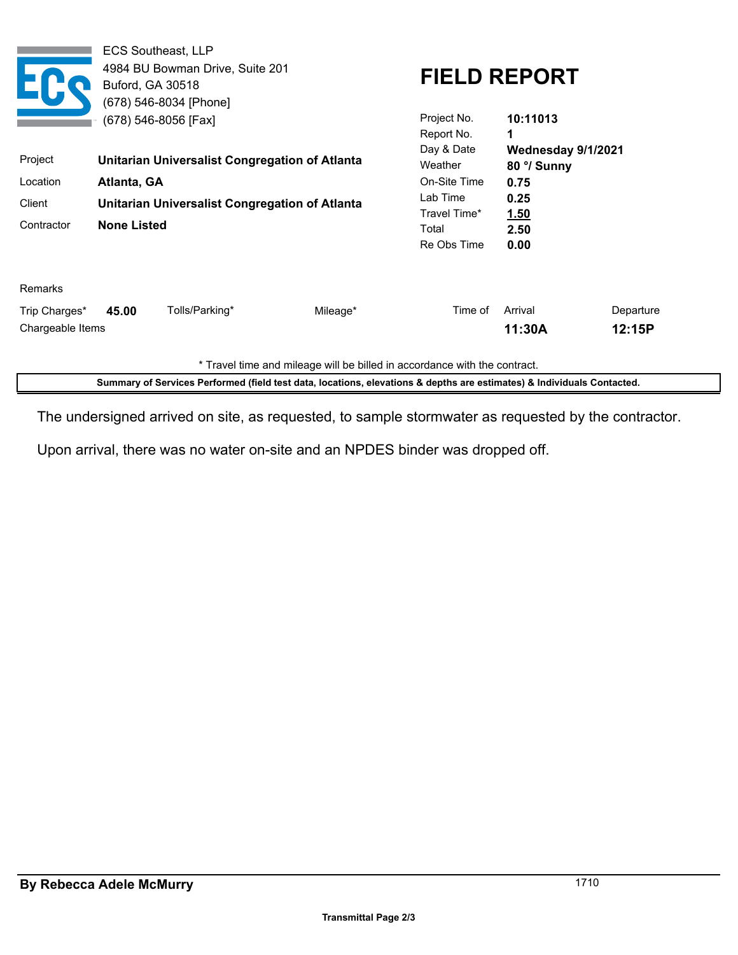|                                   | <b>ECS Southeast, LLP</b><br>Buford, GA 30518 | 4984 BU Bowman Drive, Suite 201<br>(678) 546-8034 [Phone]<br>(678) 546-8056 [Fax] | <b>FIELD REPORT</b><br>Project No.<br>10:11013 |                                     |                                        |                     |  |
|-----------------------------------|-----------------------------------------------|-----------------------------------------------------------------------------------|------------------------------------------------|-------------------------------------|----------------------------------------|---------------------|--|
| Project                           |                                               | Unitarian Universalist Congregation of Atlanta                                    |                                                | Report No.<br>Day & Date<br>Weather | 1<br>Wednesday 9/1/2021<br>80 °/ Sunny |                     |  |
| Location                          | Atlanta, GA                                   |                                                                                   | On-Site Time                                   | 0.75                                |                                        |                     |  |
| Client                            |                                               | Unitarian Universalist Congregation of Atlanta                                    |                                                | Lab Time<br>Travel Time*            | 0.25<br><u>1.50</u>                    |                     |  |
| Contractor                        | <b>None Listed</b>                            |                                                                                   |                                                | Total<br>Re Obs Time                | 2.50<br>0.00                           |                     |  |
| Remarks                           |                                               |                                                                                   |                                                |                                     |                                        |                     |  |
| Trip Charges*<br>Chargeable Items | 45.00                                         | Tolls/Parking*                                                                    | Mileage*                                       | Time of                             | Arrival<br>11:30A                      | Departure<br>12:15P |  |

\* Travel time and mileage will be billed in accordance with the contract.

**Summary of Services Performed (field test data, locations, elevations & depths are estimates) & Individuals Contacted.**

The undersigned arrived on site, as requested, to sample stormwater as requested by the contractor.

Upon arrival, there was no water on-site and an NPDES binder was dropped off.